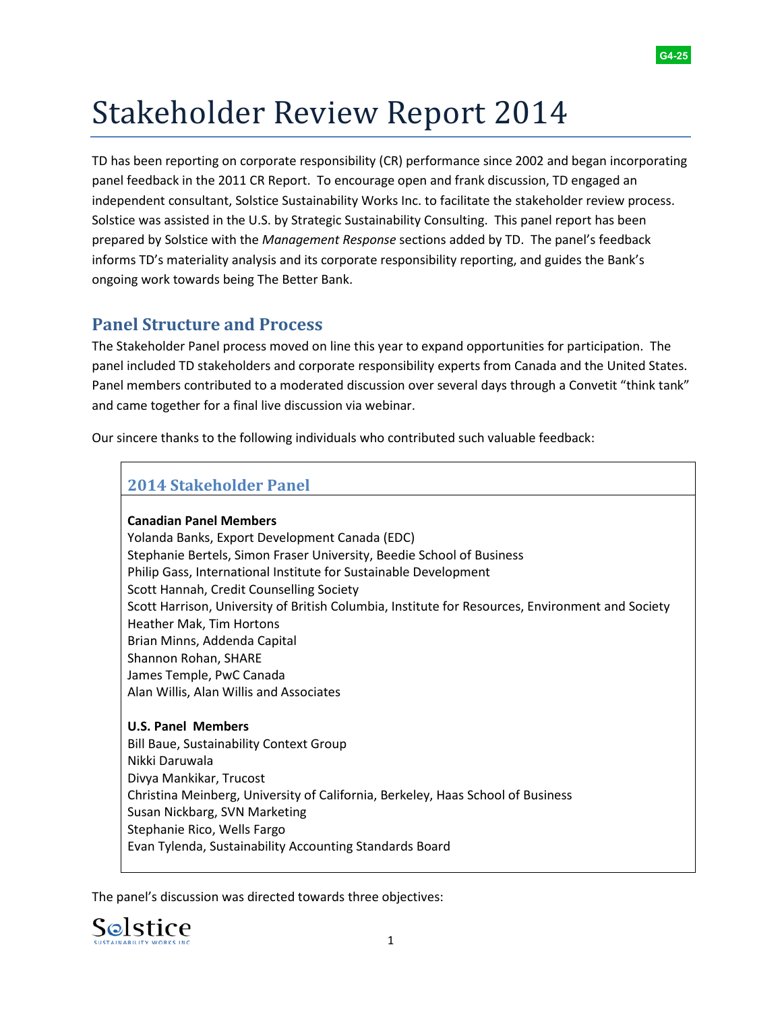

# Stakeholder Review Report 2014

 independent consultant, Solstice Sustainability Works Inc. to facilitate the stakeholder review process. Solstice was assisted in the U.S. by Strategic Sustainability Consulting. This panel report has been TD has been reporting on corporate responsibility (CR) performance since 2002 and began incorporating panel feedback in the 2011 CR Report. To encourage open and frank discussion, TD engaged an prepared by Solstice with the *Management Response* sections added by TD. The panel's feedback informs TD's materiality analysis and its corporate responsibility reporting, and guides the Bank's ongoing work towards being The Better Bank.

# **Panel Structure and Process**

 The Stakeholder Panel process moved on line this year to expand opportunities for participation. The panel included TD stakeholders and corporate responsibility experts from Canada and the United States. Panel members contributed to a moderated discussion over several days through a Convetit "think tank" and came together for a final live discussion via webinar.

Our sincere thanks to the following individuals who contributed such valuable feedback:

# **2014 Stakeholder Panel**

#### **Canadian Panel Members**

Yolanda Banks, Export Development Canada (EDC) Stephanie Bertels, Simon Fraser University, Beedie School of Business Philip Gass, International Institute for Sustainable Development Scott Hannah, Credit Counselling Society Scott Harrison, University of British Columbia, Institute for Resources, Environment and Society Heather Mak, Tim Hortons Brian Minns, Addenda Capital Shannon Rohan, SHARE James Temple, PwC Canada Alan Willis, Alan Willis and Associates

## **U.S. Panel Members**  Bill Baue, Sustainability Context Group Nikki Daruwala Divya Mankikar, Trucost Christina Meinberg, University of California, Berkeley, Haas School of Business Susan Nickbarg, SVN Marketing Stephanie Rico, Wells Fargo Evan Tylenda, Sustainability Accounting Standards Board

The panel's discussion was directed towards three objectives:

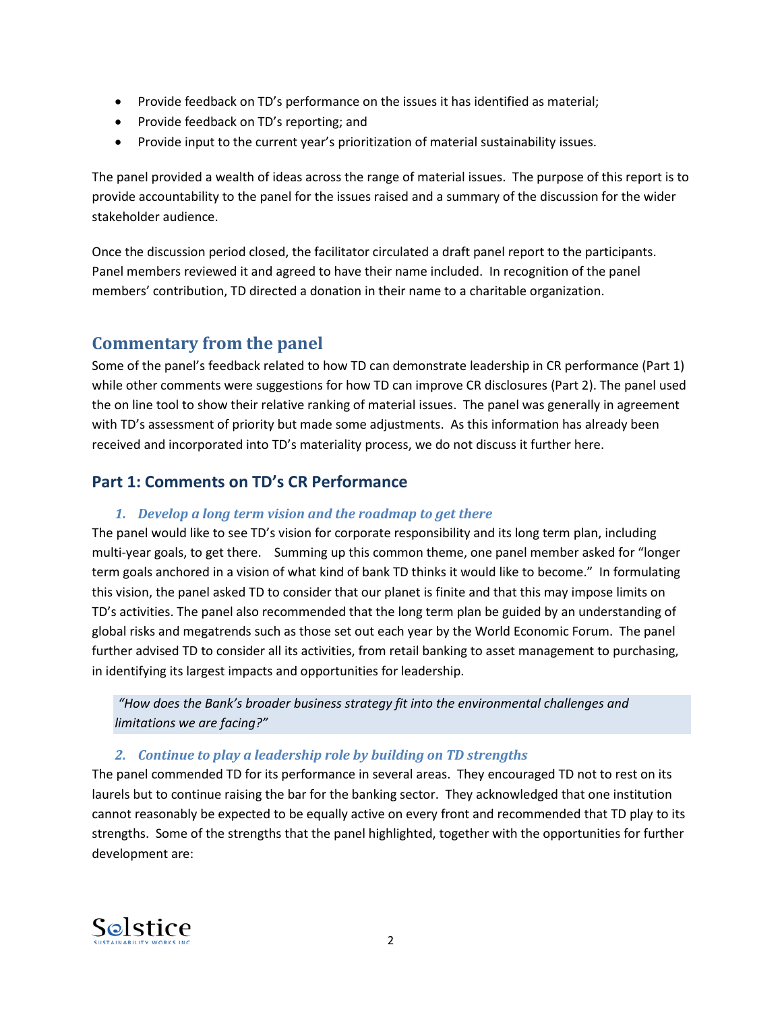- Provide feedback on TD's performance on the issues it has identified as material;
- Provide feedback on TD's reporting; and
- Provide input to the current year's prioritization of material sustainability issues.

The panel provided a wealth of ideas across the range of material issues. The purpose of this report is to provide accountability to the panel for the issues raised and a summary of the discussion for the wider stakeholder audience.

 Once the discussion period closed, the facilitator circulated a draft panel report to the participants. Panel members reviewed it and agreed to have their name included. In recognition of the panel members' contribution, TD directed a donation in their name to a charitable organization.

# **Commentary from the panel**

 with TD's assessment of priority but made some adjustments. As this information has already been Some of the panel's feedback related to how TD can demonstrate leadership in CR performance (Part 1) while other comments were suggestions for how TD can improve CR disclosures (Part 2). The panel used the on line tool to show their relative ranking of material issues. The panel was generally in agreement received and incorporated into TD's materiality process, we do not discuss it further here.

# **Part 1: Comments on TD's CR Performance**

#### *1. Develop a long term vision and the roadmap to get there*

 term goals anchored in a vision of what kind of bank TD thinks it would like to become." In formulating in identifying its largest impacts and opportunities for leadership. The panel would like to see TD's vision for corporate responsibility and its long term plan, including multi-year goals, to get there. Summing up this common theme, one panel member asked for "longer this vision, the panel asked TD to consider that our planet is finite and that this may impose limits on TD's activities. The panel also recommended that the long term plan be guided by an understanding of global risks and megatrends such as those set out each year by the World Economic Forum. The panel further advised TD to consider all its activities, from retail banking to asset management to purchasing,

*"How does the Bank's broader business strategy fit into the environmental challenges and limitations we are facing?"*

#### *2. Continue to play a leadership role by building on TD strengths*

 laurels but to continue raising the bar for the banking sector. They acknowledged that one institution The panel commended TD for its performance in several areas. They encouraged TD not to rest on its cannot reasonably be expected to be equally active on every front and recommended that TD play to its strengths. Some of the strengths that the panel highlighted, together with the opportunities for further development are:

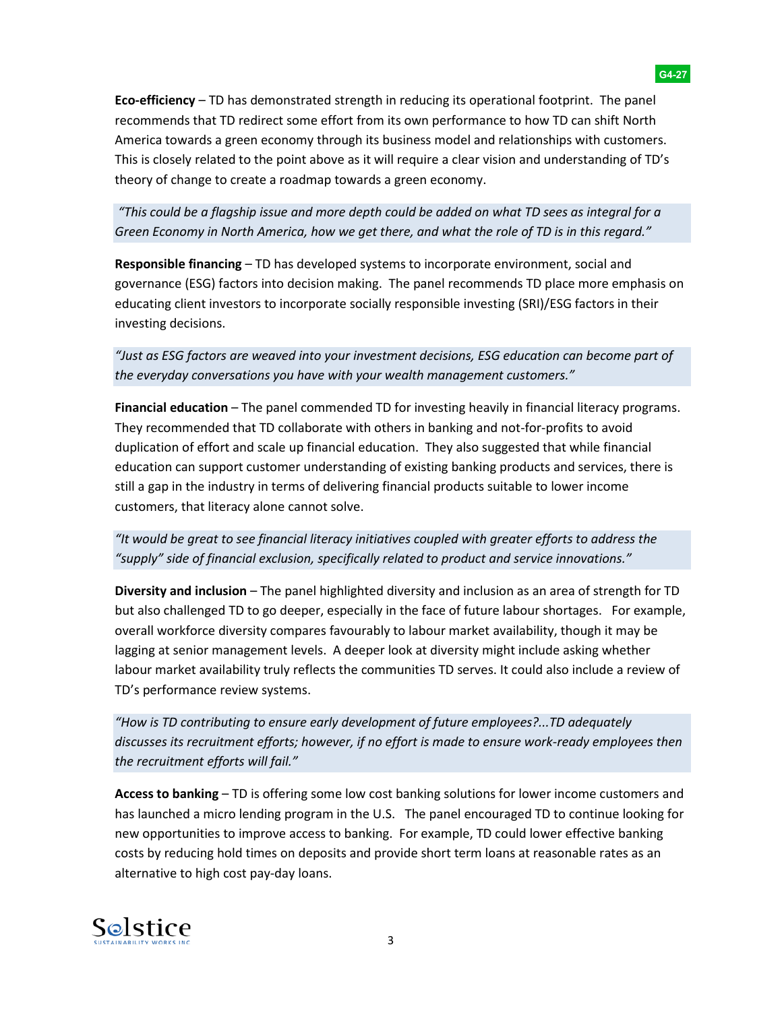America towards a green economy through its business model and relationships with customers. **Eco-efficiency** – TD has demonstrated strength in reducing its operational footprint. The panel recommends that TD redirect some effort from its own performance to how TD can shift North This is closely related to the point above as it will require a clear vision and understanding of TD's

*"This could be a flagship issue and more depth could be added on what TD sees as integral for a Green Economy in North America, how we get there, and what the role of TD is in this regard."*

theory of change to create a roadmap towards a green economy.

 governance (ESG) factors into decision making. The panel recommends TD place more emphasis on **Responsible financing** – TD has developed systems to incorporate environment, social and educating client investors to incorporate socially responsible investing (SRI)/ESG factors in their investing decisions.

*"Just as ESG factors are weaved into your investment decisions, ESG education can become part of the everyday conversations you have with your wealth management customers."*

 **Financial education** – The panel commended TD for investing heavily in financial literacy programs. They recommended that TD collaborate with others in banking and not-for-profits to avoid duplication of effort and scale up financial education. They also suggested that while financial education can support customer understanding of existing banking products and services, there is still a gap in the industry in terms of delivering financial products suitable to lower income customers, that literacy alone cannot solve.

*"It would be great to see financial literacy initiatives coupled with greater efforts to address the "supply" side of financial exclusion, specifically related to product and service innovations."*

 but also challenged TD to go deeper, especially in the face of future labour shortages. For example, **Diversity and inclusion** – The panel highlighted diversity and inclusion as an area of strength for TD overall workforce diversity compares favourably to labour market availability, though it may be lagging at senior management levels. A deeper look at diversity might include asking whether labour market availability truly reflects the communities TD serves. It could also include a review of TD's performance review systems.

*"How is TD contributing to ensure early development of future employees?...TD adequately discusses its recruitment efforts; however, if no effort is made to ensure work-ready employees then the recruitment efforts will fail."*

 has launched a micro lending program in the U.S. The panel encouraged TD to continue looking for **Access to banking** – TD is offering some low cost banking solutions for lower income customers and new opportunities to improve access to banking. For example, TD could lower effective banking costs by reducing hold times on deposits and provide short term loans at reasonable rates as an alternative to high cost pay-day loans.

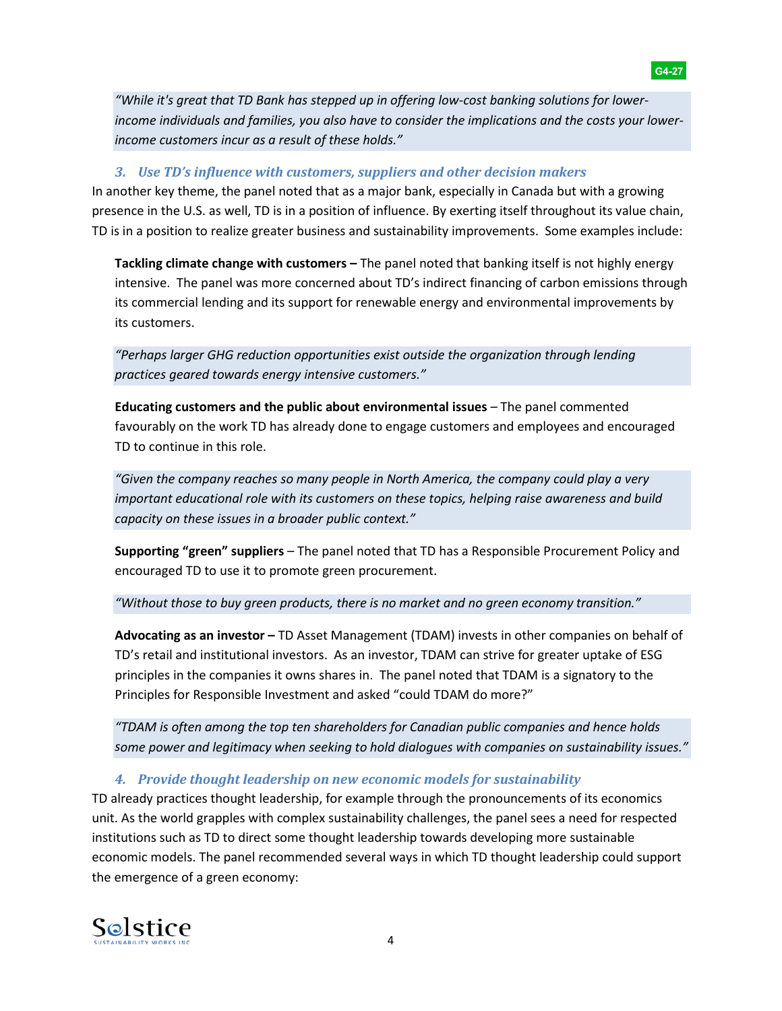*"While it's great that TD Bank has stepped up in offering low-cost banking solutions for lowerincome individuals and families, you also have to consider the implications and the costs your lowerincome customers incur as a result of these holds."*

**G4-27** 

#### *3. Use TD's influence with customers, suppliers and other decision makers*

In another key theme, the panel noted that as a major bank, especially in Canada but with a growing presence in the U.S. as well, TD is in a position of influence. By exerting itself throughout its value chain, TD is in a position to realize greater business and sustainability improvements. Some examples include:

**Tackling climate change with customers –** The panel noted that banking itself is not highly energy intensive. The panel was more concerned about TD's indirect financing of carbon emissions through its commercial lending and its support for renewable energy and environmental improvements by its customers.

*"Perhaps larger GHG reduction opportunities exist outside the organization through lending practices geared towards energy intensive customers."*

**Educating customers and the public about environmental issues** - The panel commented favourably on the work TD has already done to engage customers and employees and encouraged TD to continue in this role.

*"Given the company reaches so many people in North America, the company could play a very important educational role with its customers on these topics, helping raise awareness and build capacity on these issues in a broader public context."* 

 encouraged TD to use it to promote green procurement. **Supporting "green" suppliers** – The panel noted that TD has a Responsible Procurement Policy and

*"Without those to buy green products, there is no market and no green economy transition."*

**Advocating as an investor –** TD Asset Management (TDAM) invests in other companies on behalf of TD's retail and institutional investors. As an investor, TDAM can strive for greater uptake of ESG principles in the companies it owns shares in. The panel noted that TDAM is a signatory to the Principles for Responsible Investment and asked "could TDAM do more?"

*"TDAM is often among the top ten shareholders for Canadian public companies and hence holds some power and legitimacy when seeking to hold dialogues with companies on sustainability issues."*

#### *4. Provide thought leadership on new economic models for sustainability*

TD already practices thought leadership, for example through the pronouncements of its economics unit. As the world grapples with complex sustainability challenges, the panel sees a need for respected institutions such as TD to direct some thought leadership towards developing more sustainable economic models. The panel recommended several ways in which TD thought leadership could support the emergence of a green economy:

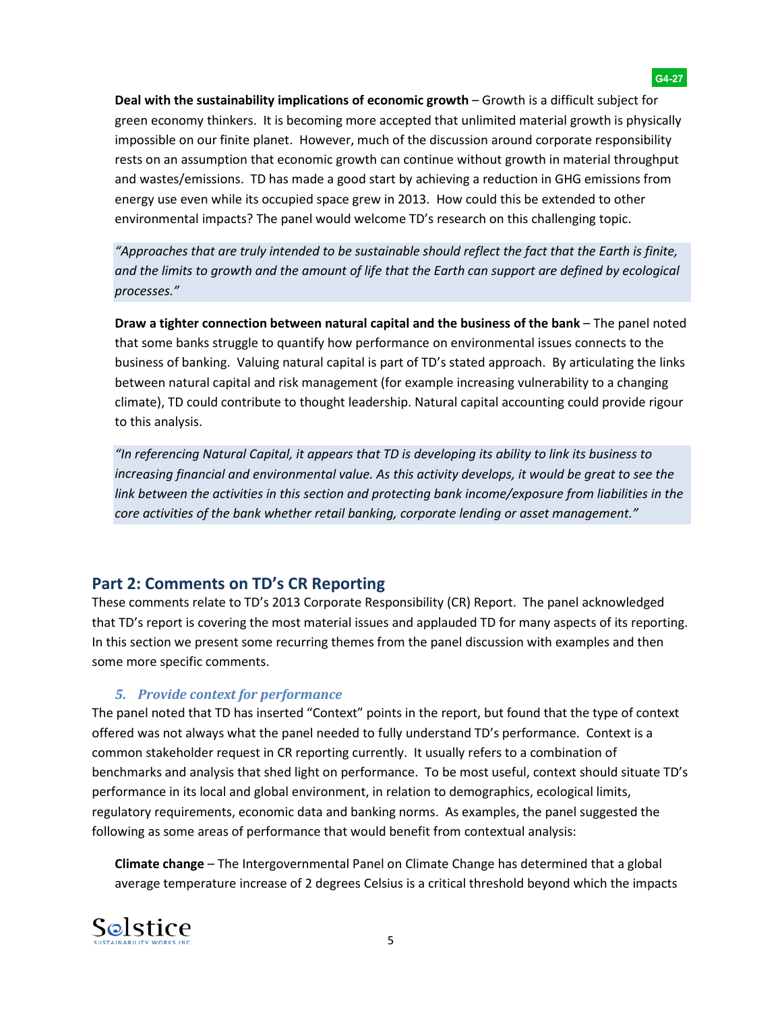impossible on our finite planet. However, much of the discussion around corporate responsibility energy use even while its occupied space grew in 2013. How could this be extended to other environmental impacts? The panel would welcome TD's research on this challenging topic. **Deal with the sustainability implications of economic growth** – Growth is a difficult subject for green economy thinkers. It is becoming more accepted that unlimited material growth is physically rests on an assumption that economic growth can continue without growth in material throughput and wastes/emissions. TD has made a good start by achieving a reduction in GHG emissions from

*"Approaches that are truly intended to be sustainable should reflect the fact that the Earth is finite,*  and the limits to growth and the amount of life that the Earth can support are defined by ecological *processes."*

**Draw a tighter connection between natural capital and the business of the bank** – The panel noted that some banks struggle to quantify how performance on environmental issues connects to the business of banking. Valuing natural capital is part of TD's stated approach. By articulating the links between natural capital and risk management (for example increasing vulnerability to a changing climate), TD could contribute to thought leadership. Natural capital accounting could provide rigour to this analysis.

*"In referencing Natural Capital, it appears that TD is developing its ability to link its business to increasing financial and environmental value. As this activity develops, it would be great to see the link between the activities in this section and protecting bank income/exposure from liabilities in the core activities of the bank whether retail banking, corporate lending or asset management."*

# **Part 2: Comments on TD's CR Reporting**

 that TD's report is covering the most material issues and applauded TD for many aspects of its reporting. These comments relate to TD's 2013 Corporate Responsibility (CR) Report. The panel acknowledged In this section we present some recurring themes from the panel discussion with examples and then some more specific comments.

#### *5. Provide context for performance*

The panel noted that TD has inserted "Context" points in the report, but found that the type of context offered was not always what the panel needed to fully understand TD's performance. Context is a common stakeholder request in CR reporting currently. It usually refers to a combination of benchmarks and analysis that shed light on performance. To be most useful, context should situate TD's performance in its local and global environment, in relation to demographics, ecological limits, regulatory requirements, economic data and banking norms. As examples, the panel suggested the following as some areas of performance that would benefit from contextual analysis:

**Climate change** – The Intergovernmental Panel on Climate Change has determined that a global average temperature increase of 2 degrees Celsius is a critical threshold beyond which the impacts

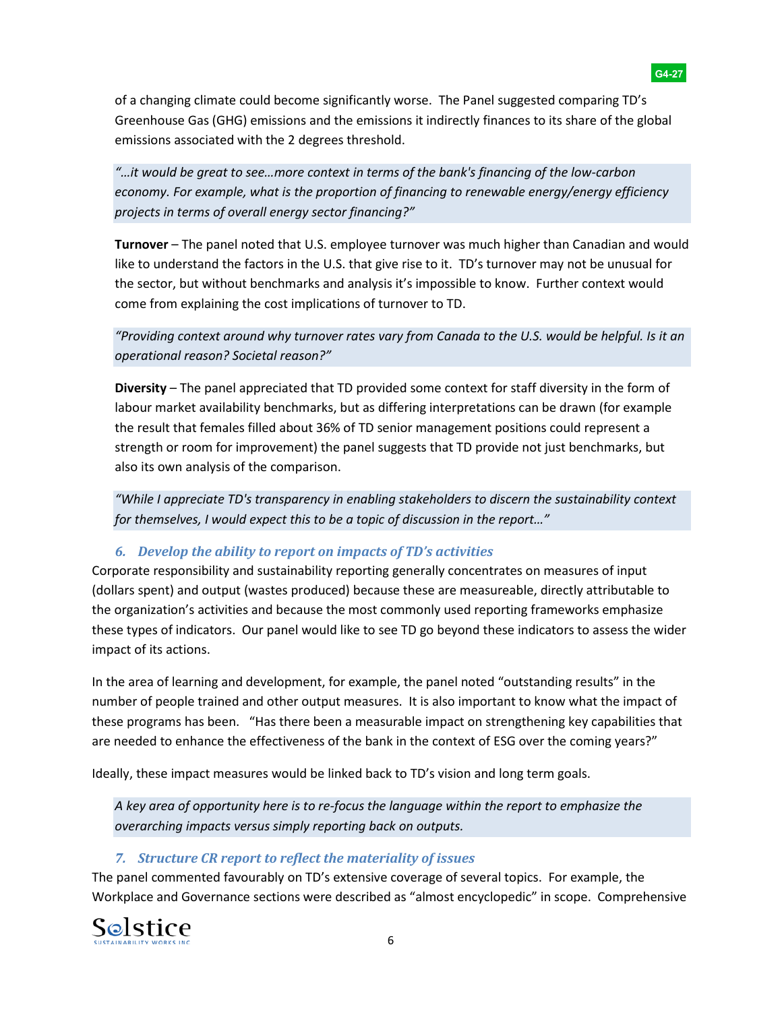of a changing climate could become significantly worse. The Panel suggested comparing TD's Greenhouse Gas (GHG) emissions and the emissions it indirectly finances to its share of the global emissions associated with the 2 degrees threshold.

*"…it would be great to see…more context in terms of the bank's financing of the low-carbon economy. For example, what is the proportion of financing to renewable energy/energy efficiency projects in terms of overall energy sector financing?"*

 the sector, but without benchmarks and analysis it's impossible to know. Further context would **Turnover** – The panel noted that U.S. employee turnover was much higher than Canadian and would like to understand the factors in the U.S. that give rise to it. TD's turnover may not be unusual for come from explaining the cost implications of turnover to TD.

## *"Providing context around why turnover rates vary from Canada to the U.S. would be helpful. Is it an operational reason? Societal reason?"*

**Diversity** – The panel appreciated that TD provided some context for staff diversity in the form of labour market availability benchmarks, but as differing interpretations can be drawn (for example the result that females filled about 36% of TD senior management positions could represent a strength or room for improvement) the panel suggests that TD provide not just benchmarks, but also its own analysis of the comparison.

*"While I appreciate TD's transparency in enabling stakeholders to discern the sustainability context for themselves, I would expect this to be a topic of discussion in the report…"*

## *6. Develop the ability to report on impacts of TD's activities*

Corporate responsibility and sustainability reporting generally concentrates on measures of input (dollars spent) and output (wastes produced) because these are measureable, directly attributable to the organization's activities and because the most commonly used reporting frameworks emphasize these types of indicators. Our panel would like to see TD go beyond these indicators to assess the wider impact of its actions.

 number of people trained and other output measures. It is also important to know what the impact of In the area of learning and development, for example, the panel noted "outstanding results" in the these programs has been. "Has there been a measurable impact on strengthening key capabilities that are needed to enhance the effectiveness of the bank in the context of ESG over the coming years?"

Ideally, these impact measures would be linked back to TD's vision and long term goals.

*A key area of opportunity here is to re-focus the language within the report to emphasize the overarching impacts versus simply reporting back on outputs.*

# *7. Structure CR report to reflect the materiality of issues*

 The panel commented favourably on TD's extensive coverage of several topics. For example, the Workplace and Governance sections were described as "almost encyclopedic" in scope. Comprehensive



#### **G4-27**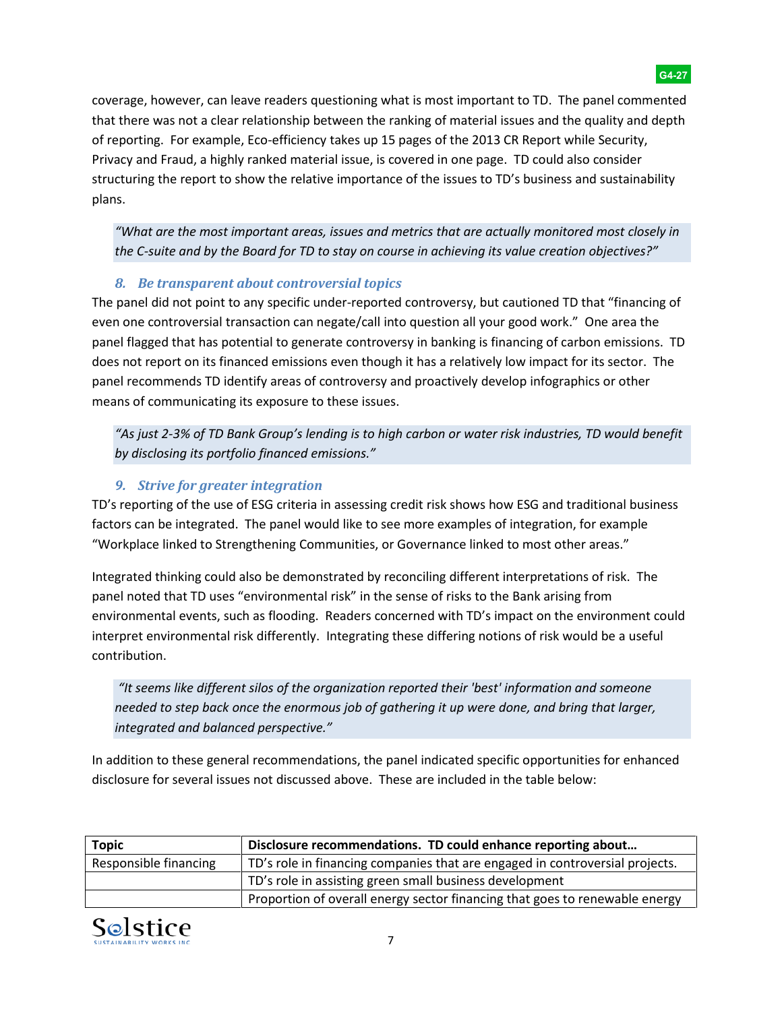of reporting. For example, Eco-efficiency takes up 15 pages of the 2013 CR Report while Security, coverage, however, can leave readers questioning what is most important to TD. The panel commented that there was not a clear relationship between the ranking of material issues and the quality and depth Privacy and Fraud, a highly ranked material issue, is covered in one page. TD could also consider structuring the report to show the relative importance of the issues to TD's business and sustainability plans.

*"What are the most important areas, issues and metrics that are actually monitored most closely in the C-suite and by the Board for TD to stay on course in achieving its value creation objectives?"*

## *8. Be transparent about controversial topics*

The panel did not point to any specific under-reported controversy, but cautioned TD that "financing of even one controversial transaction can negate/call into question all your good work." One area the panel flagged that has potential to generate controversy in banking is financing of carbon emissions. TD does not report on its financed emissions even though it has a relatively low impact for its sector. The panel recommends TD identify areas of controversy and proactively develop infographics or other means of communicating its exposure to these issues.

*"As just 2-3% of TD Bank Group's lending is to high carbon or water risk industries, TD would benefit by disclosing its portfolio financed emissions."*

# *9. Strive for greater integration*

 "Workplace linked to Strengthening Communities, or Governance linked to most other areas." TD's reporting of the use of ESG criteria in assessing credit risk shows how ESG and traditional business factors can be integrated. The panel would like to see more examples of integration, for example

 environmental events, such as flooding. Readers concerned with TD's impact on the environment could interpret environmental risk differently. Integrating these differing notions of risk would be a useful contribution. Integrated thinking could also be demonstrated by reconciling different interpretations of risk. The panel noted that TD uses "environmental risk" in the sense of risks to the Bank arising from

*"It seems like different silos of the organization reported their 'best' information and someone needed to step back once the enormous job of gathering it up were done, and bring that larger, integrated and balanced perspective."*

In addition to these general recommendations, the panel indicated specific opportunities for enhanced disclosure for several issues not discussed above. These are included in the table below:

| <b>Topic</b>          | Disclosure recommendations. TD could enhance reporting about                 |
|-----------------------|------------------------------------------------------------------------------|
| Responsible financing | TD's role in financing companies that are engaged in controversial projects. |
|                       | TD's role in assisting green small business development                      |
|                       | Proportion of overall energy sector financing that goes to renewable energy  |